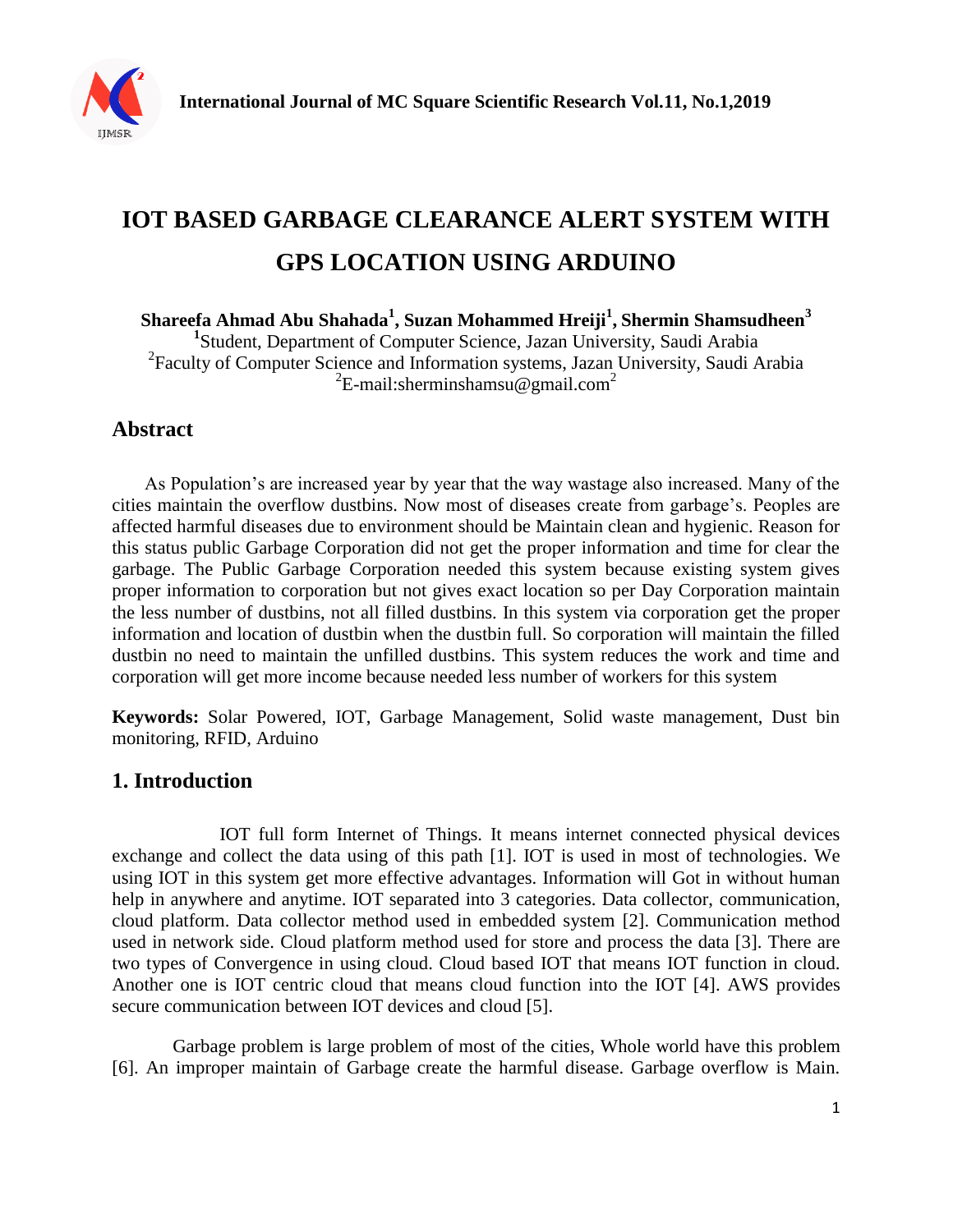

# **IOT BASED GARBAGE CLEARANCE ALERT SYSTEM WITH GPS LOCATION USING ARDUINO**

**Shareefa Ahmad Abu Shahada<sup>1</sup> , Suzan Mohammed Hreiji<sup>1</sup> , Shermin Shamsudheen<sup>3</sup>** 

**1** Student, Department of Computer Science, Jazan University, Saudi Arabia 2 Faculty of Computer Science and Information systems, Jazan University, Saudi Arabia  ${}^{2}E$ -mail:sherminshamsu@gmail.com<sup>2</sup>

# **Abstract**

 As Population's are increased year by year that the way wastage also increased. Many of the cities maintain the overflow dustbins. Now most of diseases create from garbage's. Peoples are affected harmful diseases due to environment should be Maintain clean and hygienic. Reason for this status public Garbage Corporation did not get the proper information and time for clear the garbage. The Public Garbage Corporation needed this system because existing system gives proper information to corporation but not gives exact location so per Day Corporation maintain the less number of dustbins, not all filled dustbins. In this system via corporation get the proper information and location of dustbin when the dustbin full. So corporation will maintain the filled dustbin no need to maintain the unfilled dustbins. This system reduces the work and time and corporation will get more income because needed less number of workers for this system

**Keywords:** Solar Powered, IOT, Garbage Management, Solid waste management, Dust bin monitoring, RFID, Arduino

# **1. Introduction**

 IOT full form Internet of Things. It means internet connected physical devices exchange and collect the data using of this path [1]. IOT is used in most of technologies. We using IOT in this system get more effective advantages. Information will Got in without human help in anywhere and anytime. IOT separated into 3 categories. Data collector, communication, cloud platform. Data collector method used in embedded system [2]. Communication method used in network side. Cloud platform method used for store and process the data [3]. There are two types of Convergence in using cloud. Cloud based IOT that means IOT function in cloud. Another one is IOT centric cloud that means cloud function into the IOT [4]. AWS provides secure communication between IOT devices and cloud [5].

Garbage problem is large problem of most of the cities, Whole world have this problem [6]. An improper maintain of Garbage create the harmful disease. Garbage overflow is Main.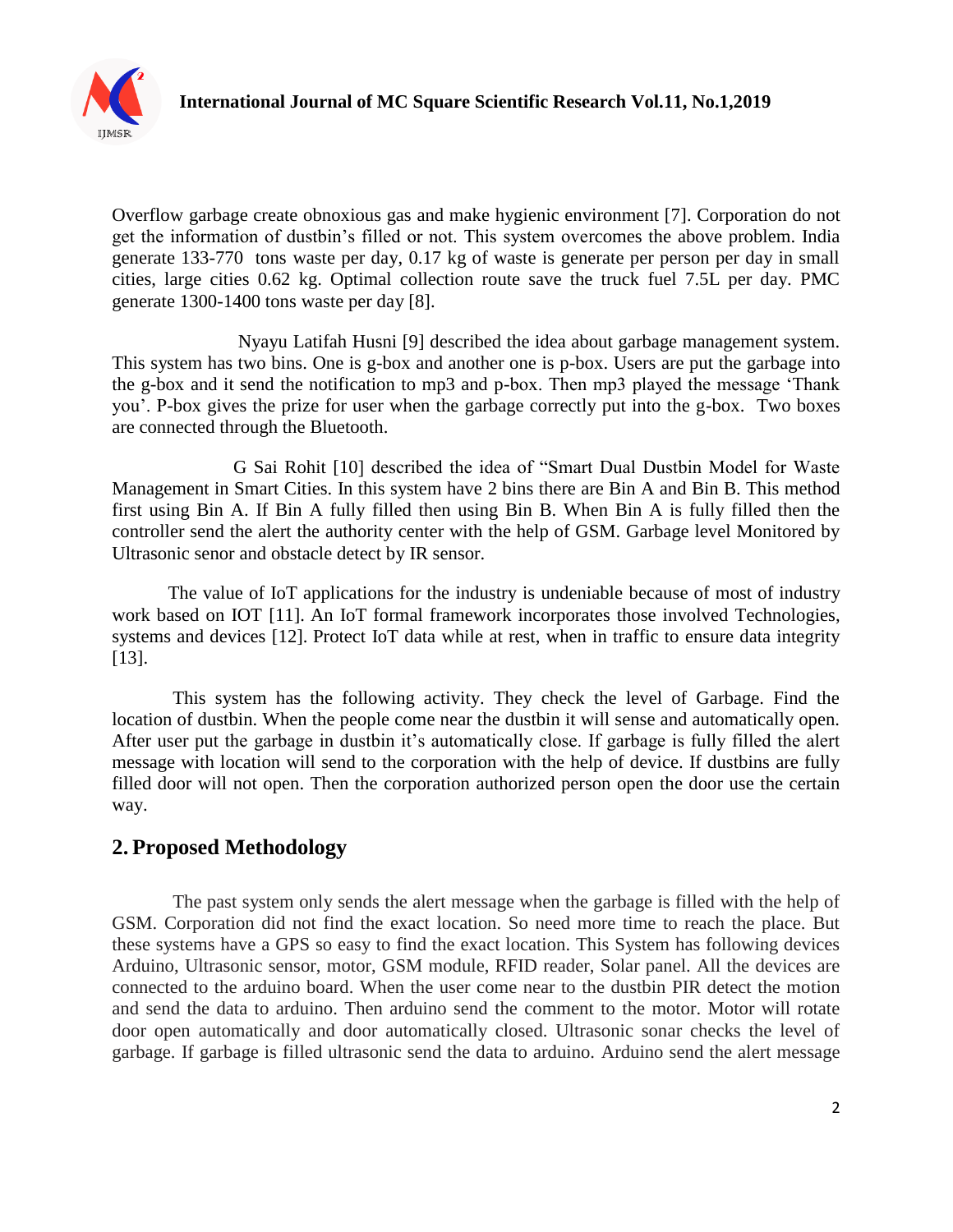

Overflow garbage create obnoxious gas and make hygienic environment [7]. Corporation do not get the information of dustbin's filled or not. This system overcomes the above problem. India generate 133-770 tons waste per day, 0.17 kg of waste is generate per person per day in small cities, large cities 0.62 kg. Optimal collection route save the truck fuel 7.5L per day. PMC generate 1300-1400 tons waste per day [8].

 Nyayu Latifah Husni [9] described the idea about garbage management system. This system has two bins. One is g-box and another one is p-box. Users are put the garbage into the g-box and it send the notification to mp3 and p-box. Then mp3 played the message 'Thank you'. P-box gives the prize for user when the garbage correctly put into the g-box. Two boxes are connected through the Bluetooth.

 G Sai Rohit [10] described the idea of "Smart Dual Dustbin Model for Waste Management in Smart Cities. In this system have 2 bins there are Bin A and Bin B. This method first using Bin A. If Bin A fully filled then using Bin B. When Bin A is fully filled then the controller send the alert the authority center with the help of GSM. Garbage level Monitored by Ultrasonic senor and obstacle detect by IR sensor.

The value of IoT applications for the industry is undeniable because of most of industry work based on IOT [11]. An IoT formal framework incorporates those involved Technologies, systems and devices [12]. Protect IoT data while at rest, when in traffic to ensure data integrity [13].

This system has the following activity. They check the level of Garbage. Find the location of dustbin. When the people come near the dustbin it will sense and automatically open. After user put the garbage in dustbin it's automatically close. If garbage is fully filled the alert message with location will send to the corporation with the help of device. If dustbins are fully filled door will not open. Then the corporation authorized person open the door use the certain way.

# **2. Proposed Methodology**

The past system only sends the alert message when the garbage is filled with the help of GSM. Corporation did not find the exact location. So need more time to reach the place. But these systems have a GPS so easy to find the exact location. This System has following devices Arduino, Ultrasonic sensor, motor, GSM module, RFID reader, Solar panel. All the devices are connected to the arduino board. When the user come near to the dustbin PIR detect the motion and send the data to arduino. Then arduino send the comment to the motor. Motor will rotate door open automatically and door automatically closed. Ultrasonic sonar checks the level of garbage. If garbage is filled ultrasonic send the data to arduino. Arduino send the alert message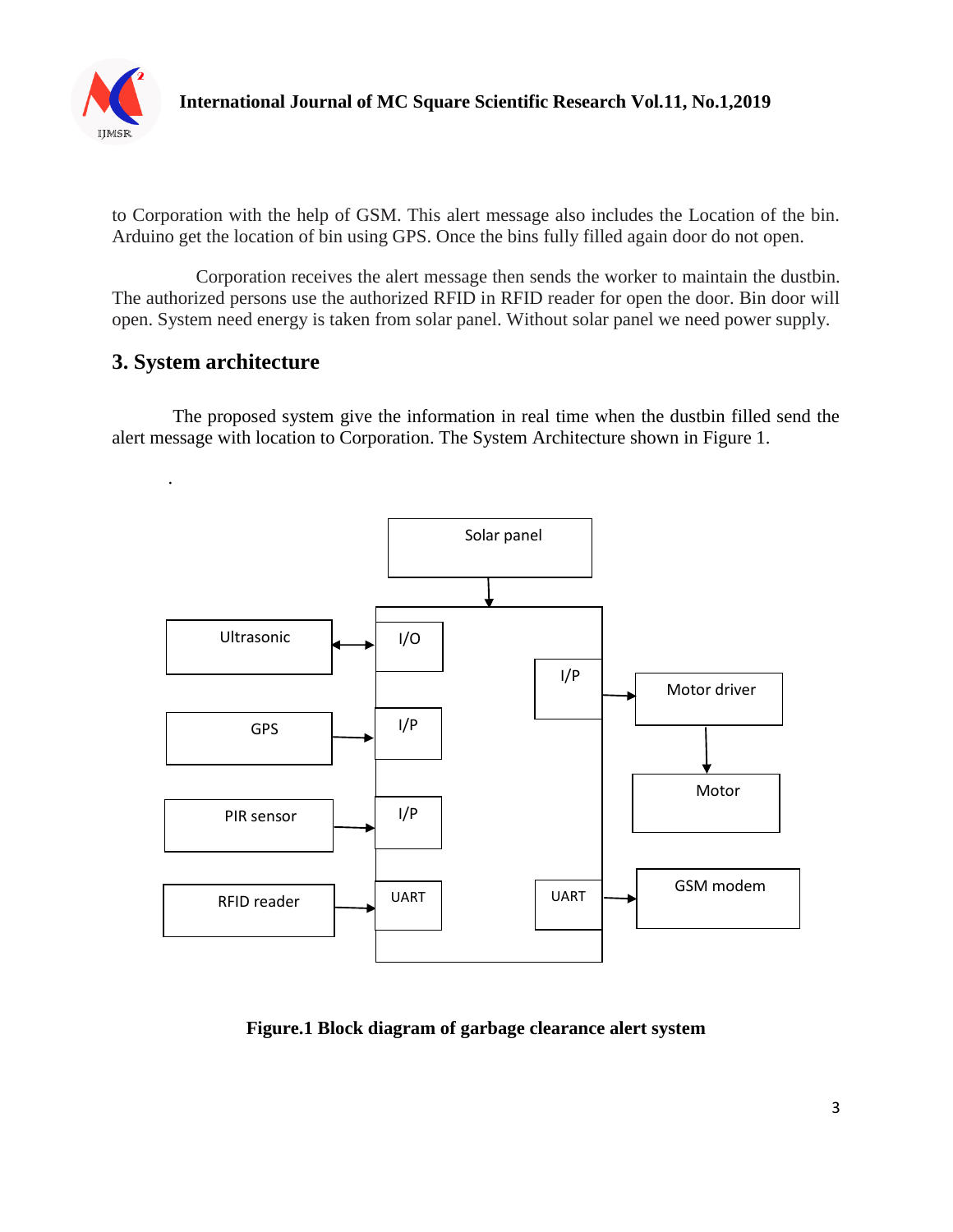

to Corporation with the help of GSM. This alert message also includes the Location of the bin. Arduino get the location of bin using GPS. Once the bins fully filled again door do not open.

 Corporation receives the alert message then sends the worker to maintain the dustbin. The authorized persons use the authorized RFID in RFID reader for open the door. Bin door will open. System need energy is taken from solar panel. Without solar panel we need power supply.

# **3. System architecture**

The proposed system give the information in real time when the dustbin filled send the alert message with location to Corporation. The System Architecture shown in Figure 1.



**Figure.1 Block diagram of garbage clearance alert system**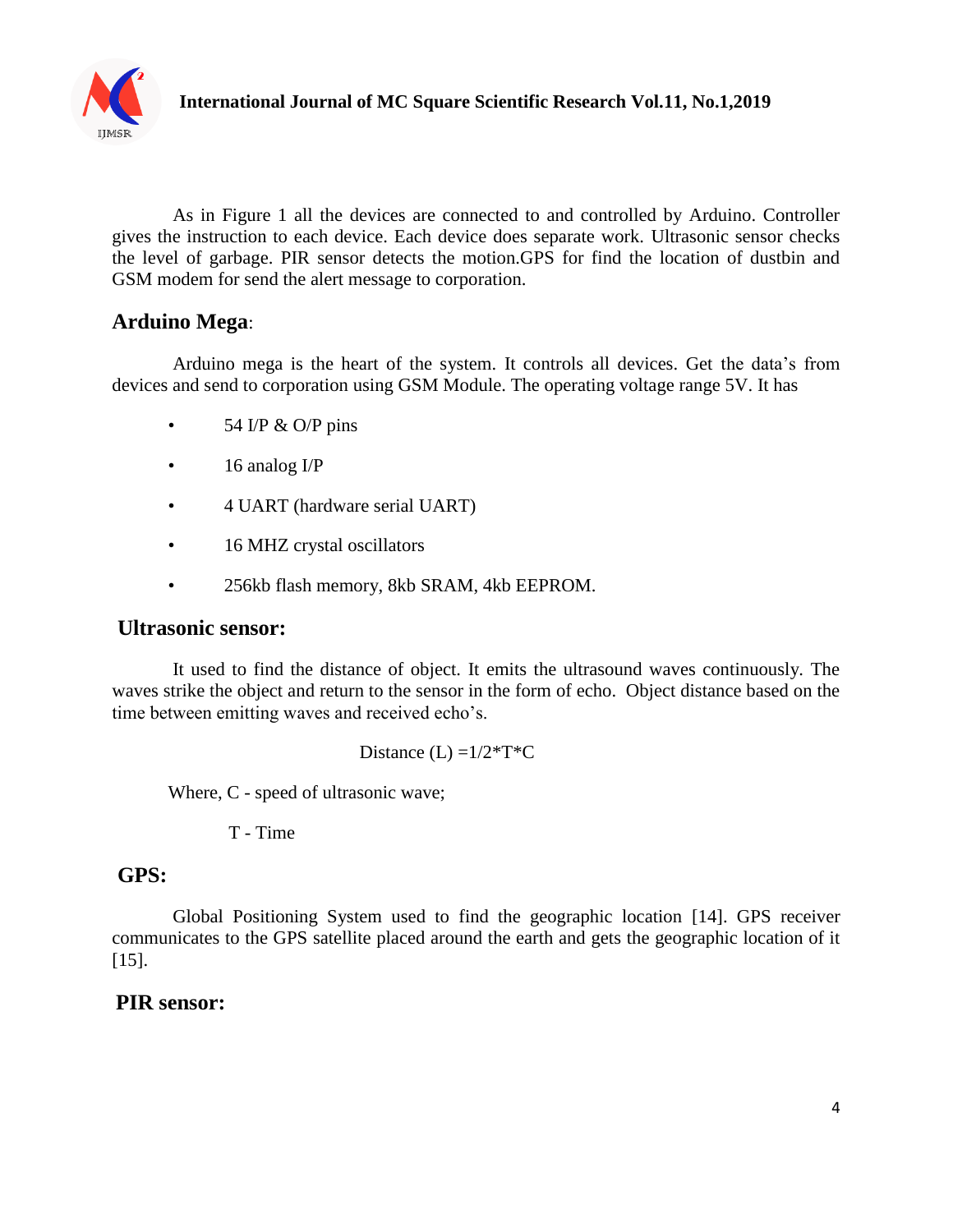

As in Figure 1 all the devices are connected to and controlled by Arduino. Controller gives the instruction to each device. Each device does separate work. Ultrasonic sensor checks the level of garbage. PIR sensor detects the motion.GPS for find the location of dustbin and GSM modem for send the alert message to corporation.

## **Arduino Mega**:

Arduino mega is the heart of the system. It controls all devices. Get the data's from devices and send to corporation using GSM Module. The operating voltage range 5V. It has

- $\cdot$  54 I/P & O/P pins
- 16 analog I/P
- 4 UART (hardware serial UART)
- 16 MHZ crystal oscillators
- 256kb flash memory, 8kb SRAM, 4kb EEPROM.

### **Ultrasonic sensor:**

It used to find the distance of object. It emits the ultrasound waves continuously. The waves strike the object and return to the sensor in the form of echo. Object distance based on the time between emitting waves and received echo's.

Distance  $(L) = 1/2 \cdot T \cdot C$ 

Where, C - speed of ultrasonic wave;

T - Time

## **GPS:**

Global Positioning System used to find the geographic location [14]. GPS receiver communicates to the GPS satellite placed around the earth and gets the geographic location of it [15].

### **PIR sensor:**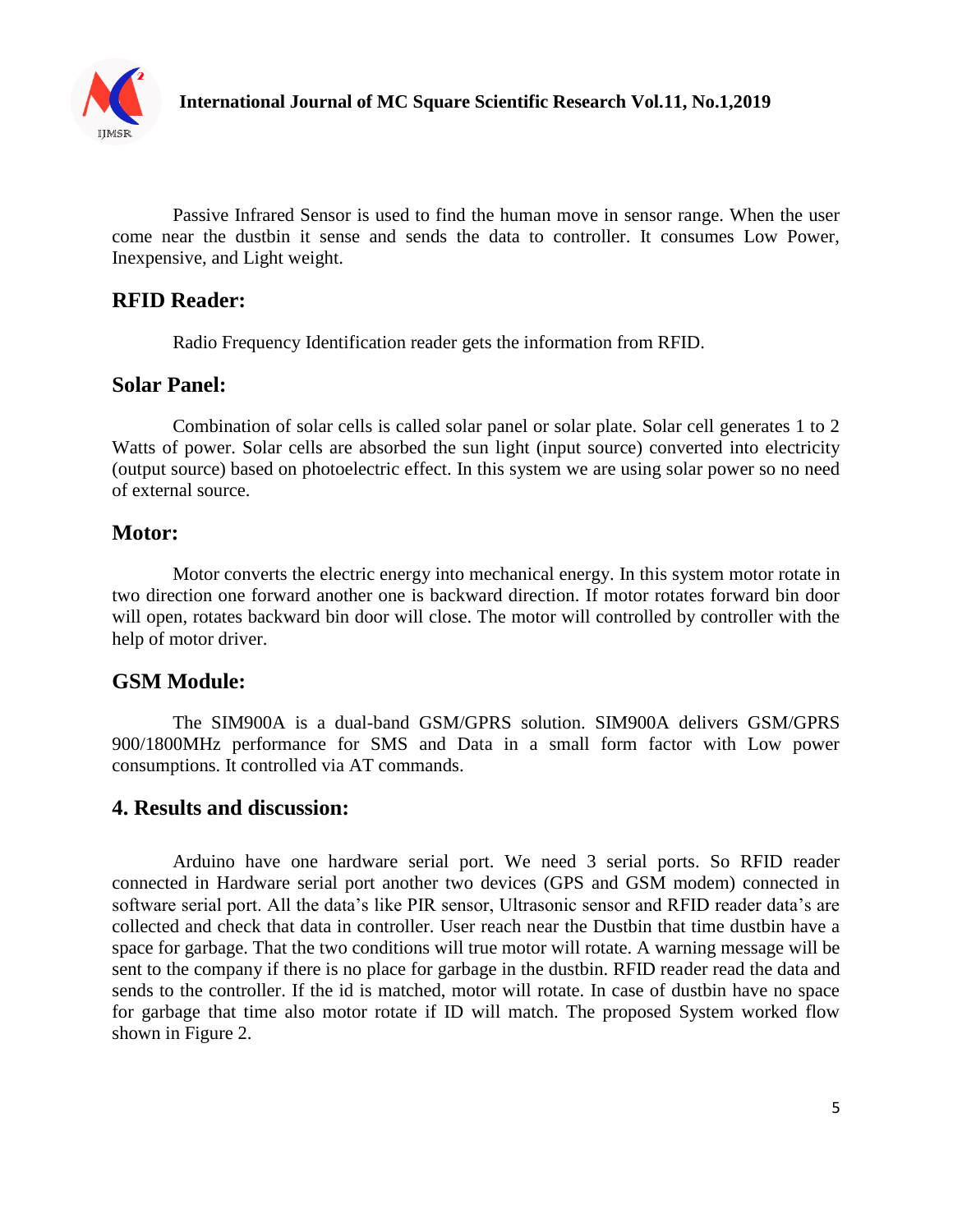

Passive Infrared Sensor is used to find the human move in sensor range. When the user come near the dustbin it sense and sends the data to controller. It consumes Low Power, Inexpensive, and Light weight.

## **RFID Reader:**

Radio Frequency Identification reader gets the information from RFID.

#### **Solar Panel:**

Combination of solar cells is called solar panel or solar plate. Solar cell generates 1 to 2 Watts of power. Solar cells are absorbed the sun light (input source) converted into electricity (output source) based on photoelectric effect. In this system we are using solar power so no need of external source.

### **Motor:**

Motor converts the electric energy into mechanical energy. In this system motor rotate in two direction one forward another one is backward direction. If motor rotates forward bin door will open, rotates backward bin door will close. The motor will controlled by controller with the help of motor driver.

### **GSM Module:**

The SIM900A is a dual-band GSM/GPRS solution. SIM900A delivers GSM/GPRS 900/1800MHz performance for SMS and Data in a small form factor with Low power consumptions. It controlled via AT commands.

### **4. Results and discussion:**

Arduino have one hardware serial port. We need 3 serial ports. So RFID reader connected in Hardware serial port another two devices (GPS and GSM modem) connected in software serial port. All the data's like PIR sensor, Ultrasonic sensor and RFID reader data's are collected and check that data in controller. User reach near the Dustbin that time dustbin have a space for garbage. That the two conditions will true motor will rotate. A warning message will be sent to the company if there is no place for garbage in the dustbin. RFID reader read the data and sends to the controller. If the id is matched, motor will rotate. In case of dustbin have no space for garbage that time also motor rotate if ID will match. The proposed System worked flow shown in Figure 2.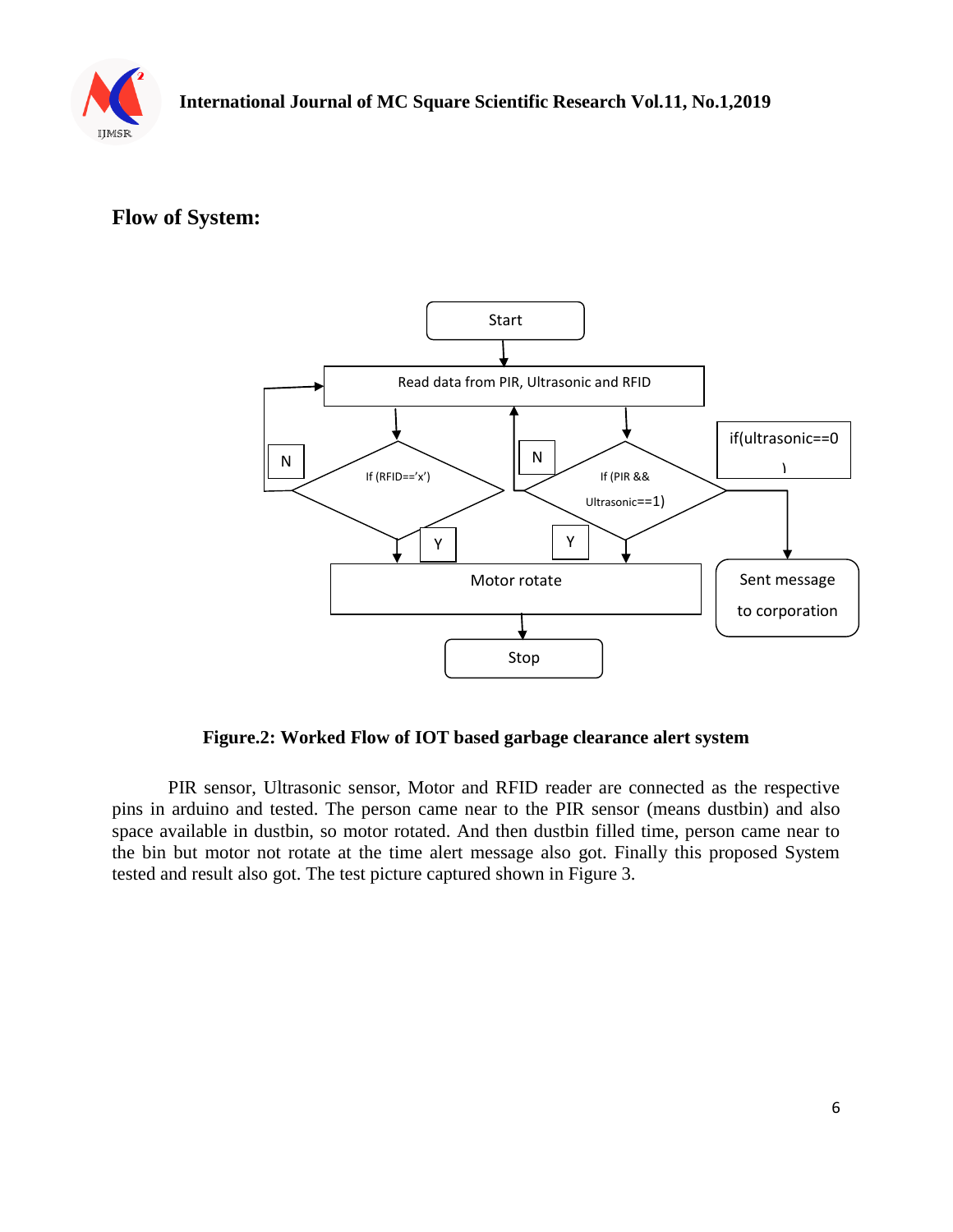

# **Flow of System:**



**Figure.2: Worked Flow of IOT based garbage clearance alert system** 

PIR sensor, Ultrasonic sensor, Motor and RFID reader are connected as the respective pins in arduino and tested. The person came near to the PIR sensor (means dustbin) and also space available in dustbin, so motor rotated. And then dustbin filled time, person came near to the bin but motor not rotate at the time alert message also got. Finally this proposed System tested and result also got. The test picture captured shown in Figure 3.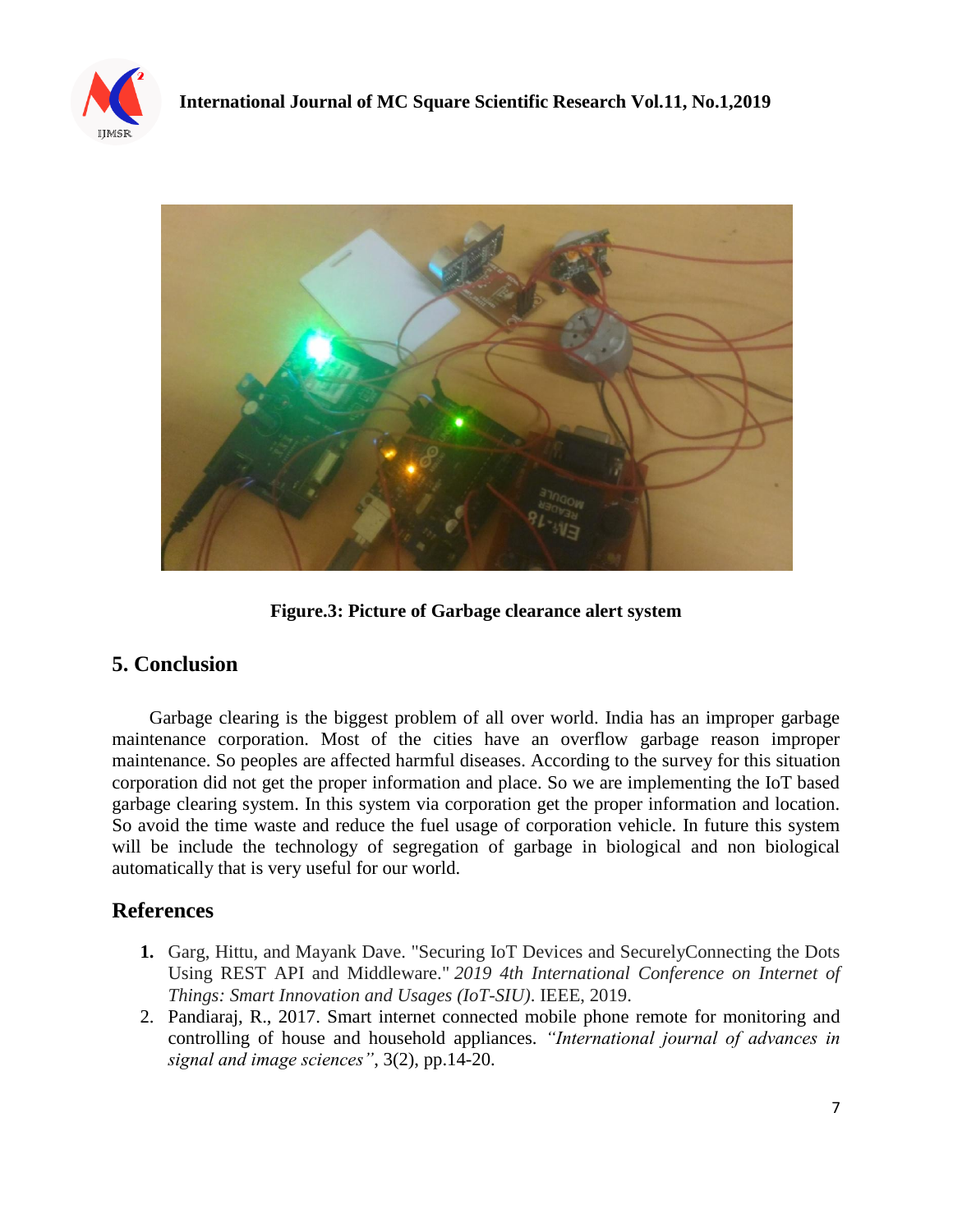



**Figure.3: Picture of Garbage clearance alert system**

## **5. Conclusion**

 Garbage clearing is the biggest problem of all over world. India has an improper garbage maintenance corporation. Most of the cities have an overflow garbage reason improper maintenance. So peoples are affected harmful diseases. According to the survey for this situation corporation did not get the proper information and place. So we are implementing the IoT based garbage clearing system. In this system via corporation get the proper information and location. So avoid the time waste and reduce the fuel usage of corporation vehicle. In future this system will be include the technology of segregation of garbage in biological and non biological automatically that is very useful for our world.

## **References**

- **1.** Garg, Hittu, and Mayank Dave. "Securing IoT Devices and SecurelyConnecting the Dots Using REST API and Middleware." *2019 4th International Conference on Internet of Things: Smart Innovation and Usages (IoT-SIU)*. IEEE, 2019.
- 2. Pandiaraj, R., 2017. Smart internet connected mobile phone remote for monitoring and controlling of house and household appliances. *"International journal of advances in signal and image sciences"*, 3(2), pp.14-20.